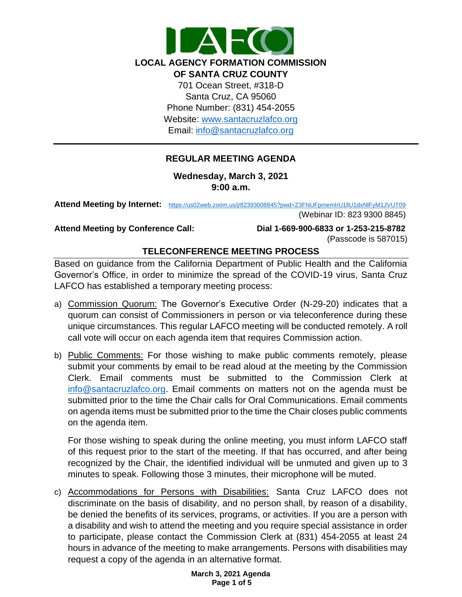

## **REGULAR MEETING AGENDA**

**Wednesday, March 3, 2021 9:00 a.m.**

**Attend Meeting by Internet:** <https://us02web.zoom.us/j/82393008845?pwd=Z3FNUFpmemIrU1llU1dxNlFyM1JVUT09>

(Webinar ID: 823 9300 8845)

**Attend Meeting by Conference Call: Dial 1-669-900-6833 or 1-253-215-8782**  (Passcode is 587015)

# **TELECONFERENCE MEETING PROCESS**

Based on guidance from the California Department of Public Health and the California Governor's Office, in order to minimize the spread of the COVID-19 virus, Santa Cruz LAFCO has established a temporary meeting process:

- a) Commission Quorum: The Governor's Executive Order (N-29-20) indicates that a quorum can consist of Commissioners in person or via teleconference during these unique circumstances. This regular LAFCO meeting will be conducted remotely. A roll call vote will occur on each agenda item that requires Commission action.
- b) Public Comments: For those wishing to make public comments remotely, please submit your comments by email to be read aloud at the meeting by the Commission Clerk. Email comments must be submitted to the Commission Clerk at [info@santacruzlafco.org.](mailto:info@santacruzlafco.org) Email comments on matters not on the agenda must be submitted prior to the time the Chair calls for Oral Communications. Email comments on agenda items must be submitted prior to the time the Chair closes public comments on the agenda item.

For those wishing to speak during the online meeting, you must inform LAFCO staff of this request prior to the start of the meeting. If that has occurred, and after being recognized by the Chair, the identified individual will be unmuted and given up to 3 minutes to speak. Following those 3 minutes, their microphone will be muted.

c) Accommodations for Persons with Disabilities: Santa Cruz LAFCO does not discriminate on the basis of disability, and no person shall, by reason of a disability, be denied the benefits of its services, programs, or activities. If you are a person with a disability and wish to attend the meeting and you require special assistance in order to participate, please contact the Commission Clerk at (831) 454-2055 at least 24 hours in advance of the meeting to make arrangements. Persons with disabilities may request a copy of the agenda in an alternative format.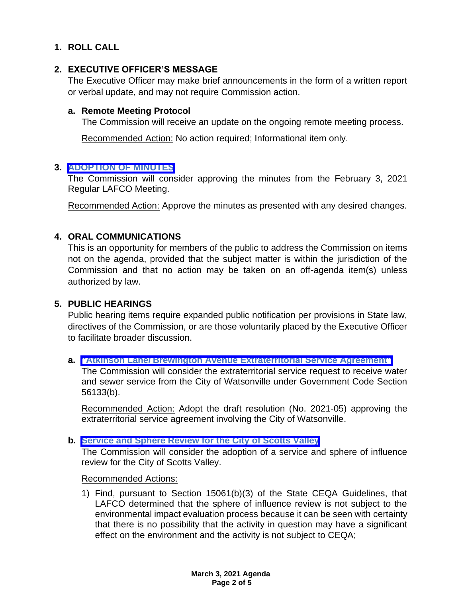# **1. ROLL CALL**

## **2. EXECUTIVE OFFICER'S MESSAGE**

The Executive Officer may make brief announcements in the form of a written report or verbal update, and may not require Commission action.

## **a. Remote Meeting Protocol**

The Commission will receive an update on the ongoing remote meeting process.

Recommended Action: No action required; Informational item only.

## **3. [ADOPTION OF MINUTES](https://www.santacruzlafco.org/wp-content/uploads/2021/02/3.0-Draft-Minutes-February-LAFCO-Meeting.pdf)**

The Commission will consider approving the minutes from the February 3, 2021 Regular LAFCO Meeting.

Recommended Action: Approve the minutes as presented with any desired changes.

## **4. ORAL COMMUNICATIONS**

This is an opportunity for members of the public to address the Commission on items not on the agenda, provided that the subject matter is within the jurisdiction of the Commission and that no action may be taken on an off-agenda item(s) unless authorized by law.

## **5. PUBLIC HEARINGS**

Public hearing items require expanded public notification per provisions in State law, directives of the Commission, or are those voluntarily placed by the Executive Officer to facilitate broader discussion.

## **a. "Atkinson Lane/ [Brewington Avenue Extraterritorial Service Agreement"](https://www.santacruzlafco.org/wp-content/uploads/2021/02/5a.0-Extraterritorial-Serv-Agreement-Staff-Report.pdf)**

The Commission will consider the extraterritorial service request to receive water and sewer service from the City of Watsonville under Government Code Section 56133(b).

Recommended Action: Adopt the draft resolution (No. 2021-05) approving the extraterritorial service agreement involving the City of Watsonville.

## **b. [Service and Sphere Review for the City of Scotts Valley](https://www.santacruzlafco.org/wp-content/uploads/2021/02/5b.0-City-of-Scotts-Valley-MSR-Staff-Report.pdf)**

The Commission will consider the adoption of a service and sphere of influence review for the City of Scotts Valley.

Recommended Actions:

1) Find, pursuant to Section 15061(b)(3) of the State CEQA Guidelines, that LAFCO determined that the sphere of influence review is not subject to the environmental impact evaluation process because it can be seen with certainty that there is no possibility that the activity in question may have a significant effect on the environment and the activity is not subject to CEQA;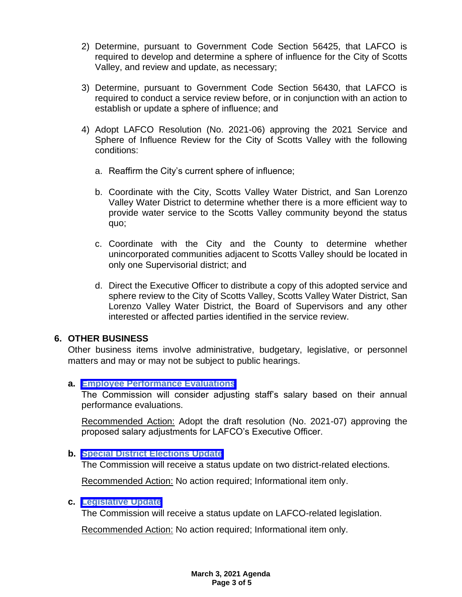- 2) Determine, pursuant to Government Code Section 56425, that LAFCO is required to develop and determine a sphere of influence for the City of Scotts Valley, and review and update, as necessary;
- 3) Determine, pursuant to Government Code Section 56430, that LAFCO is required to conduct a service review before, or in conjunction with an action to establish or update a sphere of influence; and
- 4) Adopt LAFCO Resolution (No. 2021-06) approving the 2021 Service and Sphere of Influence Review for the City of Scotts Valley with the following conditions:
	- a. Reaffirm the City's current sphere of influence;
	- b. Coordinate with the City, Scotts Valley Water District, and San Lorenzo Valley Water District to determine whether there is a more efficient way to provide water service to the Scotts Valley community beyond the status quo;
	- c. Coordinate with the City and the County to determine whether unincorporated communities adjacent to Scotts Valley should be located in only one Supervisorial district; and
	- d. Direct the Executive Officer to distribute a copy of this adopted service and sphere review to the City of Scotts Valley, Scotts Valley Water District, San Lorenzo Valley Water District, the Board of Supervisors and any other interested or affected parties identified in the service review.

## **6. OTHER BUSINESS**

Other business items involve administrative, budgetary, legislative, or personnel matters and may or may not be subject to public hearings.

## **a. [Employee Performance Evaluations](https://www.santacruzlafco.org/wp-content/uploads/2021/02/6a.0-Performance-Evaluations-Staff-Report.pdf)**

The Commission will consider adjusting staff's salary based on their annual performance evaluations.

Recommended Action: Adopt the draft resolution (No. 2021-07) approving the proposed salary adjustments for LAFCO's Executive Officer.

## **b. [Special District Elections Update](https://www.santacruzlafco.org/wp-content/uploads/2021/02/6b.0-District-Elections-Staff-Report.pdf)**

The Commission will receive a status update on two district-related elections.

Recommended Action: No action required; Informational item only.

## **c. [Legislative Update](https://www.santacruzlafco.org/wp-content/uploads/2021/02/6c.0-Leg-Update-Staff-Report.pdf)**

The Commission will receive a status update on LAFCO-related legislation.

Recommended Action: No action required; Informational item only.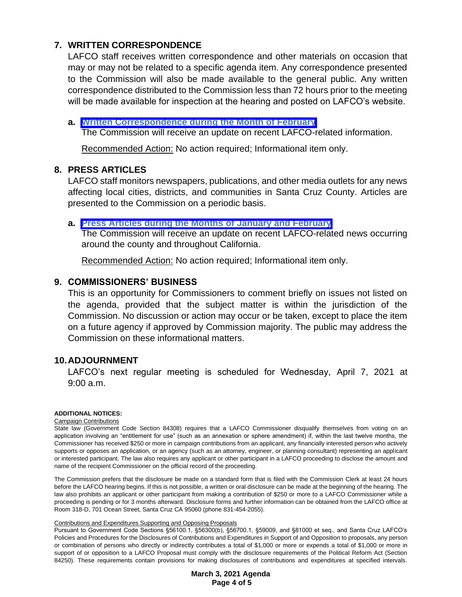# **7. WRITTEN CORRESPONDENCE**

LAFCO staff receives written correspondence and other materials on occasion that may or may not be related to a specific agenda item. Any correspondence presented to the Commission will also be made available to the general public. Any written correspondence distributed to the Commission less than 72 hours prior to the meeting will be made available for inspection at the hearing and posted on LAFCO's website.

## **a. [Written Correspondence during the Month of February](https://www.santacruzlafco.org/wp-content/uploads/2021/02/7a.0-Written-Correspondence-Staff-Report.pdf)**

The Commission will receive an update on recent LAFCO-related information.

Recommended Action: No action required; Informational item only.

## **8. PRESS ARTICLES**

LAFCO staff monitors newspapers, publications, and other media outlets for any news affecting local cities, districts, and communities in Santa Cruz County. Articles are presented to the Commission on a periodic basis.

### **a. [Press Articles during the Months of January and February](https://www.santacruzlafco.org/wp-content/uploads/2021/02/8a.0-Press-Articles-Staff-Report.pdf)**

The Commission will receive an update on recent LAFCO-related news occurring around the county and throughout California.

Recommended Action: No action required; Informational item only.

## **9. COMMISSIONERS' BUSINESS**

This is an opportunity for Commissioners to comment briefly on issues not listed on the agenda, provided that the subject matter is within the jurisdiction of the Commission. No discussion or action may occur or be taken, except to place the item on a future agency if approved by Commission majority. The public may address the Commission on these informational matters.

## **10.ADJOURNMENT**

LAFCO's next regular meeting is scheduled for Wednesday, April 7, 2021 at 9:00 a.m.

#### **ADDITIONAL NOTICES:**

#### Campaign Contributions

State law (Government Code Section 84308) requires that a LAFCO Commissioner disqualify themselves from voting on an application involving an "entitlement for use" (such as an annexation or sphere amendment) if, within the last twelve months, the Commissioner has received \$250 or more in campaign contributions from an applicant, any financially interested person who actively supports or opposes an application, or an agency (such as an attorney, engineer, or planning consultant) representing an applicant or interested participant. The law also requires any applicant or other participant in a LAFCO proceeding to disclose the amount and name of the recipient Commissioner on the official record of the proceeding.

The Commission prefers that the disclosure be made on a standard form that is filed with the Commission Clerk at least 24 hours before the LAFCO hearing begins. If this is not possible, a written or oral disclosure can be made at the beginning of the hearing. The law also prohibits an applicant or other participant from making a contribution of \$250 or more to a LAFCO Commissioner while a proceeding is pending or for 3 months afterward. Disclosure forms and further information can be obtained from the LAFCO office at Room 318-D, 701 Ocean Street, Santa Cruz CA 95060 (phone 831-454-2055).

#### Contributions and Expenditures Supporting and Opposing Proposals

Pursuant to Government Code Sections §56100.1, §56300(b), §56700.1, §59009, and §81000 et seq., and Santa Cruz LAFCO's Policies and Procedures for the Disclosures of Contributions and Expenditures in Support of and Opposition to proposals, any person or combination of persons who directly or indirectly contributes a total of \$1,000 or more or expends a total of \$1,000 or more in support of or opposition to a LAFCO Proposal must comply with the disclosure requirements of the Political Reform Act (Section 84250). These requirements contain provisions for making disclosures of contributions and expenditures at specified intervals.

> **March 3, 2021 Agenda Page 4 of 5**